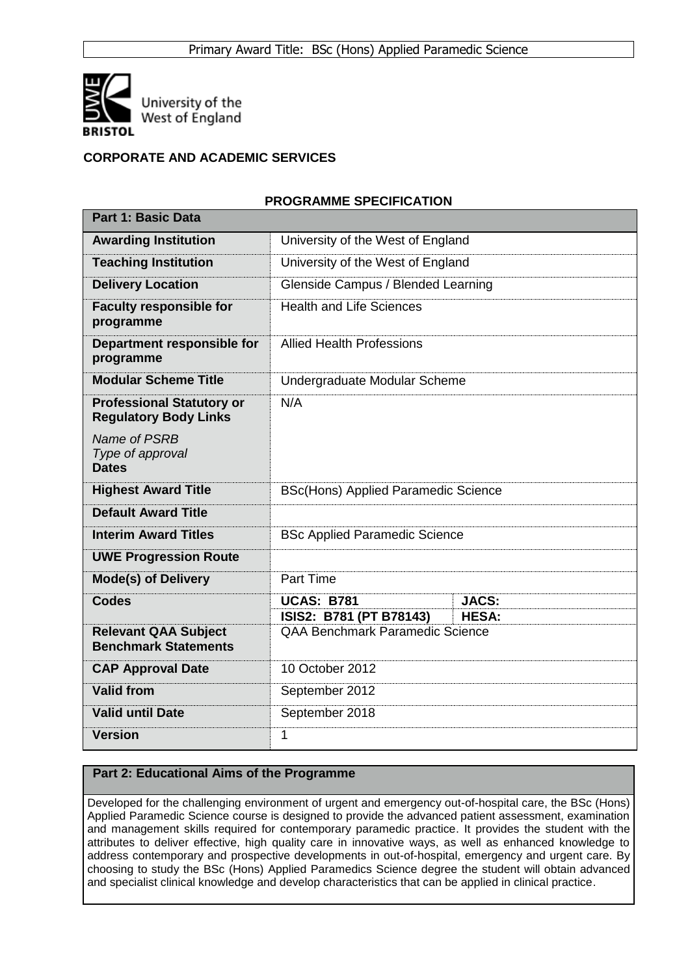

# **CORPORATE AND ACADEMIC SERVICES**

### **PROGRAMME SPECIFICATION**

| <b>Part 1: Basic Data</b>                                        |                                                                   |                              |  |  |  |  |
|------------------------------------------------------------------|-------------------------------------------------------------------|------------------------------|--|--|--|--|
| <b>Awarding Institution</b>                                      | University of the West of England                                 |                              |  |  |  |  |
| <b>Teaching Institution</b>                                      | University of the West of England                                 |                              |  |  |  |  |
| <b>Delivery Location</b>                                         | Glenside Campus / Blended Learning                                |                              |  |  |  |  |
| <b>Faculty responsible for</b><br>programme                      | <b>Health and Life Sciences</b>                                   |                              |  |  |  |  |
| Department responsible for<br>programme                          | <b>Allied Health Professions</b>                                  |                              |  |  |  |  |
| <b>Modular Scheme Title</b>                                      | Undergraduate Modular Scheme                                      |                              |  |  |  |  |
| <b>Professional Statutory or</b><br><b>Regulatory Body Links</b> | N/A                                                               |                              |  |  |  |  |
| Name of PSRB<br>Type of approval<br><b>Dates</b>                 |                                                                   |                              |  |  |  |  |
| <b>Highest Award Title</b>                                       | <b>BSc(Hons) Applied Paramedic Science</b>                        |                              |  |  |  |  |
| <b>Default Award Title</b>                                       |                                                                   |                              |  |  |  |  |
| <b>Interim Award Titles</b>                                      | <b>BSc Applied Paramedic Science</b>                              |                              |  |  |  |  |
| <b>UWE Progression Route</b>                                     |                                                                   |                              |  |  |  |  |
| <b>Mode(s) of Delivery</b>                                       | Part Time                                                         |                              |  |  |  |  |
| <b>Codes</b>                                                     | <b>UCAS: B781</b>                                                 | <b>JACS:</b><br><b>HESA:</b> |  |  |  |  |
| <b>Relevant QAA Subject</b><br><b>Benchmark Statements</b>       | ISIS2: B781 (PT B78143)<br><b>QAA Benchmark Paramedic Science</b> |                              |  |  |  |  |
| <b>CAP Approval Date</b>                                         | 10 October 2012                                                   |                              |  |  |  |  |
| <b>Valid from</b>                                                | September 2012                                                    |                              |  |  |  |  |
| <b>Valid until Date</b>                                          | September 2018                                                    |                              |  |  |  |  |
| <b>Version</b>                                                   | 1                                                                 |                              |  |  |  |  |

## **Part 2: Educational Aims of the Programme**

Developed for the challenging environment of urgent and emergency out-of-hospital care, the BSc (Hons) Applied Paramedic Science course is designed to provide the advanced patient assessment, examination and management skills required for contemporary paramedic practice. It provides the student with the attributes to deliver effective, high quality care in innovative ways, as well as enhanced knowledge to address contemporary and prospective developments in out-of-hospital, emergency and urgent care. By choosing to study the BSc (Hons) Applied Paramedics Science degree the student will obtain advanced and specialist clinical knowledge and develop characteristics that can be applied in clinical practice.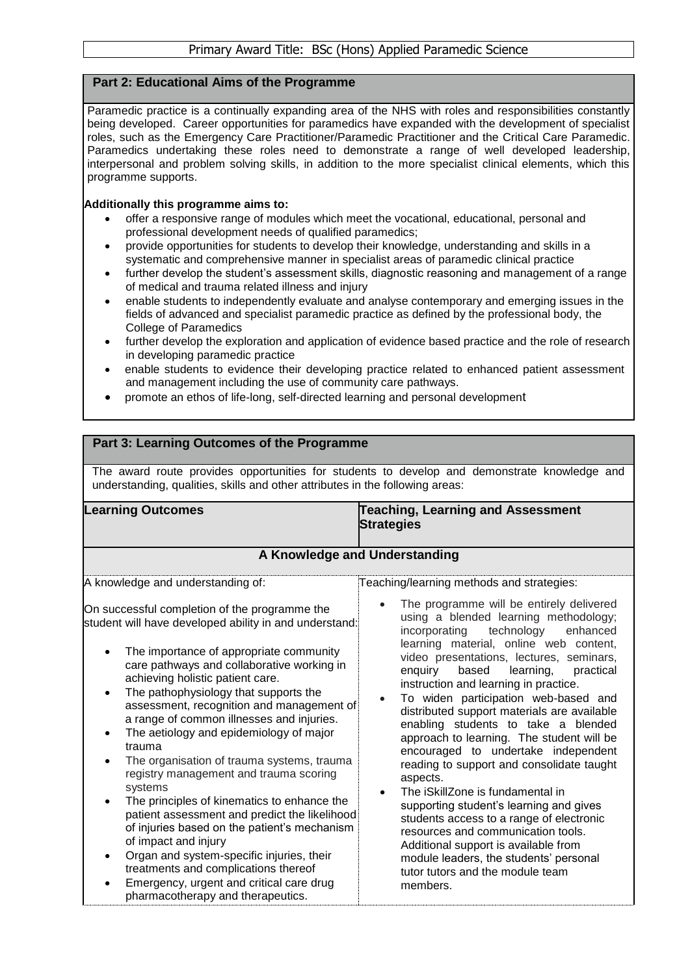# **Part 2: Educational Aims of the Programme**

**Part 3: Learning Outcomes of the Programme**

Paramedic practice is a continually expanding area of the NHS with roles and responsibilities constantly being developed. Career opportunities for paramedics have expanded with the development of specialist roles, such as the Emergency Care Practitioner/Paramedic Practitioner and the Critical Care Paramedic. Paramedics undertaking these roles need to demonstrate a range of well developed leadership, interpersonal and problem solving skills, in addition to the more specialist clinical elements, which this programme supports.

#### **Additionally this programme aims to:**

- offer a responsive range of modules which meet the vocational, educational, personal and professional development needs of qualified paramedics;
- provide opportunities for students to develop their knowledge, understanding and skills in a systematic and comprehensive manner in specialist areas of paramedic clinical practice
- further develop the student's assessment skills, diagnostic reasoning and management of a range of medical and trauma related illness and injury
- enable students to independently evaluate and analyse contemporary and emerging issues in the fields of advanced and specialist paramedic practice as defined by the professional body, the College of Paramedics
- further develop the exploration and application of evidence based practice and the role of research in developing paramedic practice
- enable students to evidence their developing practice related to enhanced patient assessment and management including the use of community care pathways.
- promote an ethos of life-long, self-directed learning and personal development

#### The award route provides opportunities for students to develop and demonstrate knowledge and understanding, qualities, skills and other attributes in the following areas: **Learning Outcomes Teaching, Learning and Assessment Strategies A Knowledge and Understanding** A knowledge and understanding of: On successful completion of the programme the student will have developed ability in and understand: • The importance of appropriate community care pathways and collaborative working in achieving holistic patient care. The pathophysiology that supports the assessment, recognition and management of a range of common illnesses and injuries. • The aetiology and epidemiology of major trauma The organisation of trauma systems, trauma registry management and trauma scoring systems The principles of kinematics to enhance the patient assessment and predict the likelihood of injuries based on the patient's mechanism of impact and injury Organ and system-specific injuries, their treatments and complications thereof Emergency, urgent and critical care drug pharmacotherapy and therapeutics. Teaching/learning methods and strategies: The programme will be entirely delivered using a blended learning methodology;<br>incorporating technology enhanced incorporating technology enhanced learning material, online web content, video presentations, lectures, seminars,<br>enquiry based learning, practical enquiry based learning, instruction and learning in practice. To widen participation web-based and distributed support materials are available enabling students to take a blended approach to learning. The student will be encouraged to undertake independent reading to support and consolidate taught aspects. The iSkillZone is fundamental in supporting student's learning and gives students access to a range of electronic resources and communication tools. Additional support is available from module leaders, the students' personal tutor tutors and the module team members.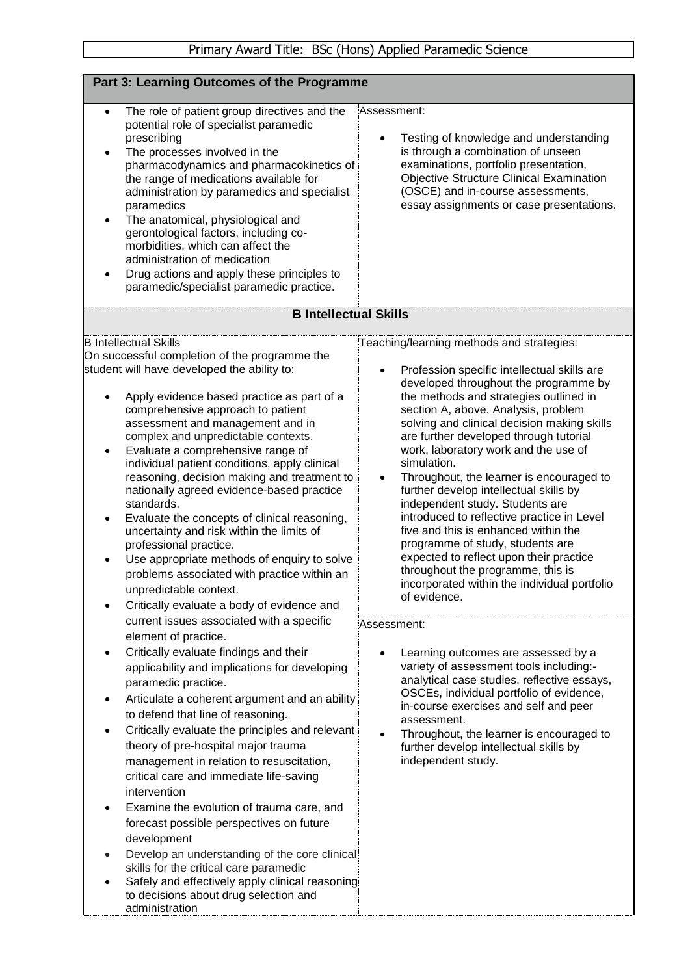|                                                                                                                                                                                                                                                                                                                                                                                                                                                                                                                                                                                                                                                                                                                                                                                                      | where there bod (from ) ripplied i diditione ocidities                                                                                                                                                                                                                                                                                                                                                                                                                                                                                                                                                                                                                                                                                                                             |
|------------------------------------------------------------------------------------------------------------------------------------------------------------------------------------------------------------------------------------------------------------------------------------------------------------------------------------------------------------------------------------------------------------------------------------------------------------------------------------------------------------------------------------------------------------------------------------------------------------------------------------------------------------------------------------------------------------------------------------------------------------------------------------------------------|------------------------------------------------------------------------------------------------------------------------------------------------------------------------------------------------------------------------------------------------------------------------------------------------------------------------------------------------------------------------------------------------------------------------------------------------------------------------------------------------------------------------------------------------------------------------------------------------------------------------------------------------------------------------------------------------------------------------------------------------------------------------------------|
| Part 3: Learning Outcomes of the Programme                                                                                                                                                                                                                                                                                                                                                                                                                                                                                                                                                                                                                                                                                                                                                           |                                                                                                                                                                                                                                                                                                                                                                                                                                                                                                                                                                                                                                                                                                                                                                                    |
|                                                                                                                                                                                                                                                                                                                                                                                                                                                                                                                                                                                                                                                                                                                                                                                                      |                                                                                                                                                                                                                                                                                                                                                                                                                                                                                                                                                                                                                                                                                                                                                                                    |
| The role of patient group directives and the<br>$\bullet$<br>potential role of specialist paramedic<br>prescribing<br>The processes involved in the<br>pharmacodynamics and pharmacokinetics of<br>the range of medications available for<br>administration by paramedics and specialist<br>paramedics<br>The anatomical, physiological and<br>gerontological factors, including co-<br>morbidities, which can affect the<br>administration of medication<br>Drug actions and apply these principles to<br>paramedic/specialist paramedic practice.                                                                                                                                                                                                                                                  | Assessment:<br>Testing of knowledge and understanding<br>is through a combination of unseen<br>examinations, portfolio presentation,<br><b>Objective Structure Clinical Examination</b><br>(OSCE) and in-course assessments,<br>essay assignments or case presentations.                                                                                                                                                                                                                                                                                                                                                                                                                                                                                                           |
| <b>B Intellectual Skills</b>                                                                                                                                                                                                                                                                                                                                                                                                                                                                                                                                                                                                                                                                                                                                                                         |                                                                                                                                                                                                                                                                                                                                                                                                                                                                                                                                                                                                                                                                                                                                                                                    |
| <b>B</b> Intellectual Skills<br>On successful completion of the programme the<br>student will have developed the ability to:<br>Apply evidence based practice as part of a<br>comprehensive approach to patient<br>assessment and management and in<br>complex and unpredictable contexts.<br>Evaluate a comprehensive range of<br>$\bullet$<br>individual patient conditions, apply clinical<br>reasoning, decision making and treatment to<br>nationally agreed evidence-based practice<br>standards.<br>Evaluate the concepts of clinical reasoning,<br>uncertainty and risk within the limits of<br>professional practice.<br>Use appropriate methods of enquiry to solve<br>problems associated with practice within an<br>unpredictable context.<br>Critically evaluate a body of evidence and | Teaching/learning methods and strategies:<br>Profession specific intellectual skills are<br>developed throughout the programme by<br>the methods and strategies outlined in<br>section A, above. Analysis, problem<br>solving and clinical decision making skills<br>are further developed through tutorial<br>work, laboratory work and the use of<br>simulation.<br>Throughout, the learner is encouraged to<br>$\bullet$<br>further develop intellectual skills by<br>independent study. Students are<br>introduced to reflective practice in Level<br>five and this is enhanced within the<br>programme of study, students are<br>expected to reflect upon their practice<br>throughout the programme, this is<br>incorporated within the individual portfolio<br>of evidence. |
| current issues associated with a specific<br>element of practice.<br>Critically evaluate findings and their<br>applicability and implications for developing<br>paramedic practice.<br>Articulate a coherent argument and an ability<br>to defend that line of reasoning.                                                                                                                                                                                                                                                                                                                                                                                                                                                                                                                            | Assessment:<br>Learning outcomes are assessed by a<br>variety of assessment tools including:-<br>analytical case studies, reflective essays,<br>OSCEs, individual portfolio of evidence,<br>in-course exercises and self and peer<br>assessment.                                                                                                                                                                                                                                                                                                                                                                                                                                                                                                                                   |
| Critically evaluate the principles and relevant<br>theory of pre-hospital major trauma<br>management in relation to resuscitation,<br>critical care and immediate life-saving<br>intervention<br>Examine the evolution of trauma care, and<br>forecast possible perspectives on future<br>development<br>Develop an understanding of the core clinical<br>skills for the critical care paramedic<br>Safely and effectively apply clinical reasoning<br>to decisions about drug selection and<br>administration                                                                                                                                                                                                                                                                                       | Throughout, the learner is encouraged to<br>further develop intellectual skills by<br>independent study.                                                                                                                                                                                                                                                                                                                                                                                                                                                                                                                                                                                                                                                                           |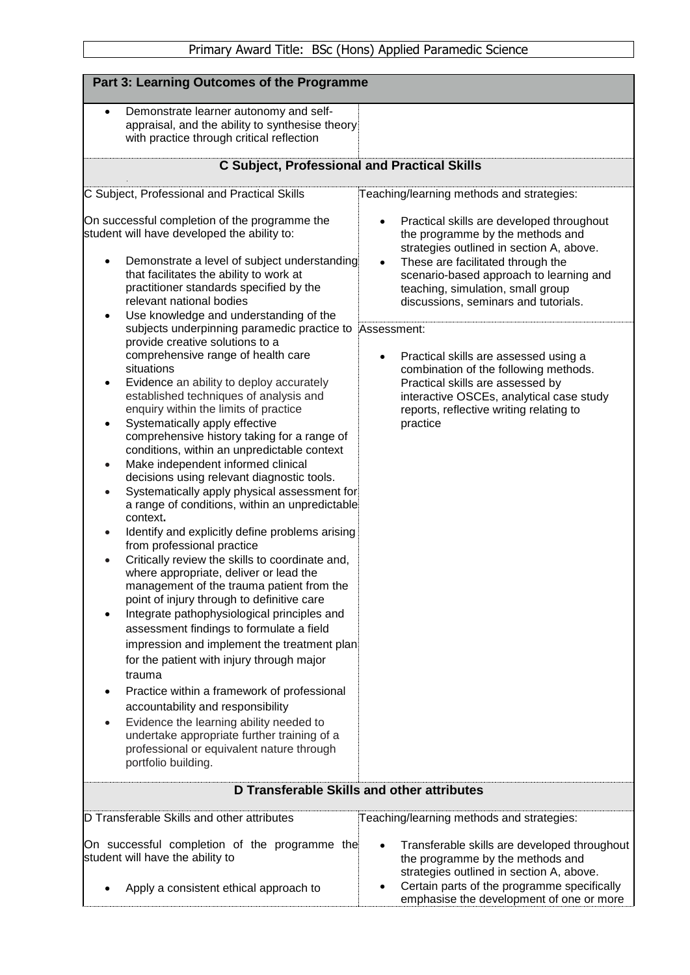| Part 3: Learning Outcomes of the Programme                                                                                                                                                                                                                                                                                                                                                                                                                                                                                                                                                                                                                                                                                                                                                                                                                                                                                                                                                                                                                                                                                                                                                                                                                                                                                                                                                                                                                                                                                                                                                                                                                                |                                                                                                                                                                                                                                                                                                                                                                                                                                                                                                                                                        |  |  |  |  |  |  |
|---------------------------------------------------------------------------------------------------------------------------------------------------------------------------------------------------------------------------------------------------------------------------------------------------------------------------------------------------------------------------------------------------------------------------------------------------------------------------------------------------------------------------------------------------------------------------------------------------------------------------------------------------------------------------------------------------------------------------------------------------------------------------------------------------------------------------------------------------------------------------------------------------------------------------------------------------------------------------------------------------------------------------------------------------------------------------------------------------------------------------------------------------------------------------------------------------------------------------------------------------------------------------------------------------------------------------------------------------------------------------------------------------------------------------------------------------------------------------------------------------------------------------------------------------------------------------------------------------------------------------------------------------------------------------|--------------------------------------------------------------------------------------------------------------------------------------------------------------------------------------------------------------------------------------------------------------------------------------------------------------------------------------------------------------------------------------------------------------------------------------------------------------------------------------------------------------------------------------------------------|--|--|--|--|--|--|
| Demonstrate learner autonomy and self-<br>$\bullet$<br>appraisal, and the ability to synthesise theory<br>with practice through critical reflection                                                                                                                                                                                                                                                                                                                                                                                                                                                                                                                                                                                                                                                                                                                                                                                                                                                                                                                                                                                                                                                                                                                                                                                                                                                                                                                                                                                                                                                                                                                       |                                                                                                                                                                                                                                                                                                                                                                                                                                                                                                                                                        |  |  |  |  |  |  |
| <b>C Subject, Professional and Practical Skills</b>                                                                                                                                                                                                                                                                                                                                                                                                                                                                                                                                                                                                                                                                                                                                                                                                                                                                                                                                                                                                                                                                                                                                                                                                                                                                                                                                                                                                                                                                                                                                                                                                                       |                                                                                                                                                                                                                                                                                                                                                                                                                                                                                                                                                        |  |  |  |  |  |  |
| C Subject, Professional and Practical Skills                                                                                                                                                                                                                                                                                                                                                                                                                                                                                                                                                                                                                                                                                                                                                                                                                                                                                                                                                                                                                                                                                                                                                                                                                                                                                                                                                                                                                                                                                                                                                                                                                              | Teaching/learning methods and strategies:                                                                                                                                                                                                                                                                                                                                                                                                                                                                                                              |  |  |  |  |  |  |
| On successful completion of the programme the<br>student will have developed the ability to:<br>Demonstrate a level of subject understanding<br>that facilitates the ability to work at<br>practitioner standards specified by the<br>relevant national bodies<br>Use knowledge and understanding of the<br>subjects underpinning paramedic practice to Assessment:<br>provide creative solutions to a<br>comprehensive range of health care<br>situations<br>Evidence an ability to deploy accurately<br>٠<br>established techniques of analysis and<br>enquiry within the limits of practice<br>Systematically apply effective<br>comprehensive history taking for a range of<br>conditions, within an unpredictable context<br>Make independent informed clinical<br>$\bullet$<br>decisions using relevant diagnostic tools.<br>Systematically apply physical assessment for<br>a range of conditions, within an unpredictable<br>context.<br>Identify and explicitly define problems arising<br>from professional practice<br>Critically review the skills to coordinate and,<br>where appropriate, deliver or lead the<br>management of the trauma patient from the<br>point of injury through to definitive care<br>Integrate pathophysiological principles and<br>assessment findings to formulate a field<br>impression and implement the treatment plan<br>for the patient with injury through major<br>trauma<br>Practice within a framework of professional<br>accountability and responsibility<br>Evidence the learning ability needed to<br>undertake appropriate further training of a<br>professional or equivalent nature through<br>portfolio building. | Practical skills are developed throughout<br>$\bullet$<br>the programme by the methods and<br>strategies outlined in section A, above.<br>These are facilitated through the<br>$\bullet$<br>scenario-based approach to learning and<br>teaching, simulation, small group<br>discussions, seminars and tutorials.<br>Practical skills are assessed using a<br>$\bullet$<br>combination of the following methods.<br>Practical skills are assessed by<br>interactive OSCEs, analytical case study<br>reports, reflective writing relating to<br>practice |  |  |  |  |  |  |
| D Transferable Skills and other attributes                                                                                                                                                                                                                                                                                                                                                                                                                                                                                                                                                                                                                                                                                                                                                                                                                                                                                                                                                                                                                                                                                                                                                                                                                                                                                                                                                                                                                                                                                                                                                                                                                                |                                                                                                                                                                                                                                                                                                                                                                                                                                                                                                                                                        |  |  |  |  |  |  |
| D Transferable Skills and other attributes                                                                                                                                                                                                                                                                                                                                                                                                                                                                                                                                                                                                                                                                                                                                                                                                                                                                                                                                                                                                                                                                                                                                                                                                                                                                                                                                                                                                                                                                                                                                                                                                                                | Teaching/learning methods and strategies:                                                                                                                                                                                                                                                                                                                                                                                                                                                                                                              |  |  |  |  |  |  |
| On successful completion of the programme the<br>student will have the ability to                                                                                                                                                                                                                                                                                                                                                                                                                                                                                                                                                                                                                                                                                                                                                                                                                                                                                                                                                                                                                                                                                                                                                                                                                                                                                                                                                                                                                                                                                                                                                                                         | Transferable skills are developed throughout<br>the programme by the methods and<br>strategies outlined in section A, above.                                                                                                                                                                                                                                                                                                                                                                                                                           |  |  |  |  |  |  |
| Apply a consistent ethical approach to                                                                                                                                                                                                                                                                                                                                                                                                                                                                                                                                                                                                                                                                                                                                                                                                                                                                                                                                                                                                                                                                                                                                                                                                                                                                                                                                                                                                                                                                                                                                                                                                                                    | Certain parts of the programme specifically<br>emphasise the development of one or more                                                                                                                                                                                                                                                                                                                                                                                                                                                                |  |  |  |  |  |  |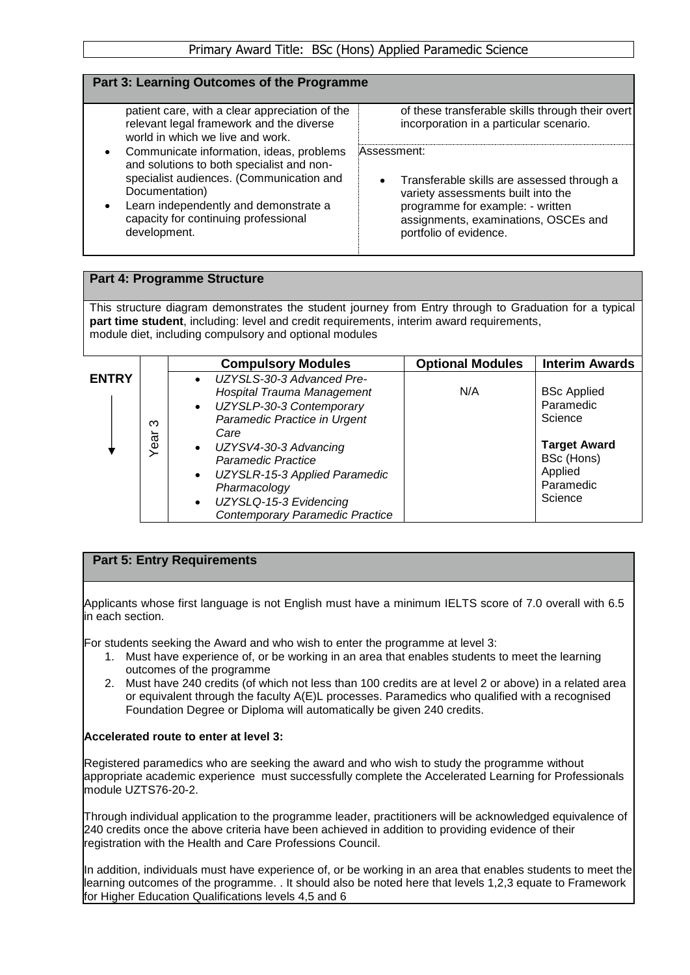## **Part 3: Learning Outcomes of the Programme**

patient care, with a clear appreciation of the relevant legal framework and the diverse world in which we live and work.

- Communicate information, ideas, problems and solutions to both specialist and nonspecialist audiences. (Communication and Documentation)
- Learn independently and demonstrate a capacity for continuing professional development.

of these transferable skills through their overt incorporation in a particular scenario.

Assessment:

 Transferable skills are assessed through a variety assessments built into the programme for example: - written assignments, examinations, OSCEs and portfolio of evidence.

# **Part 4: Programme Structure**

This structure diagram demonstrates the student journey from Entry through to Graduation for a typical **part time student**, including: level and credit requirements, interim award requirements, module diet, including compulsory and optional modules

|              |                                     | <b>Compulsory Modules</b>                                                                                                                                                                                                                                                                             | <b>Optional Modules</b> | <b>Interim Awards</b>                                                                                              |
|--------------|-------------------------------------|-------------------------------------------------------------------------------------------------------------------------------------------------------------------------------------------------------------------------------------------------------------------------------------------------------|-------------------------|--------------------------------------------------------------------------------------------------------------------|
| <b>ENTRY</b> | ო<br>$\overline{\phantom{0}}$<br>ea | • UZYSLS-30-3 Advanced Pre-<br>Hospital Trauma Management<br>• UZYSLP-30-3 Contemporary<br>Paramedic Practice in Urgent<br>Care<br>• UZYSV4-30-3 Advancing<br>Paramedic Practice<br>UZYSLR-15-3 Applied Paramedic<br>Pharmacology<br>UZYSLQ-15-3 Evidencing<br><b>Contemporary Paramedic Practice</b> | N/A                     | <b>BSc Applied</b><br>Paramedic<br>Science<br><b>Target Award</b><br>BSc (Hons)<br>Applied<br>Paramedic<br>Science |

## **Part 5: Entry Requirements**

Applicants whose first language is not English must have a minimum IELTS score of 7.0 overall with 6.5 in each section.

For students seeking the Award and who wish to enter the programme at level 3:

- 1. Must have experience of, or be working in an area that enables students to meet the learning outcomes of the programme
- 2. Must have 240 credits (of which not less than 100 credits are at level 2 or above) in a related area or equivalent through the faculty A(E)L processes. Paramedics who qualified with a recognised Foundation Degree or Diploma will automatically be given 240 credits.

#### **Accelerated route to enter at level 3:**

Registered paramedics who are seeking the award and who wish to study the programme without appropriate academic experience must successfully complete the Accelerated Learning for Professionals module UZTS76-20-2.

Through individual application to the programme leader, practitioners will be acknowledged equivalence of 240 credits once the above criteria have been achieved in addition to providing evidence of their registration with the Health and Care Professions Council.

In addition, individuals must have experience of, or be working in an area that enables students to meet the learning outcomes of the programme. . It should also be noted here that levels 1,2,3 equate to Framework for Higher Education Qualifications levels 4,5 and 6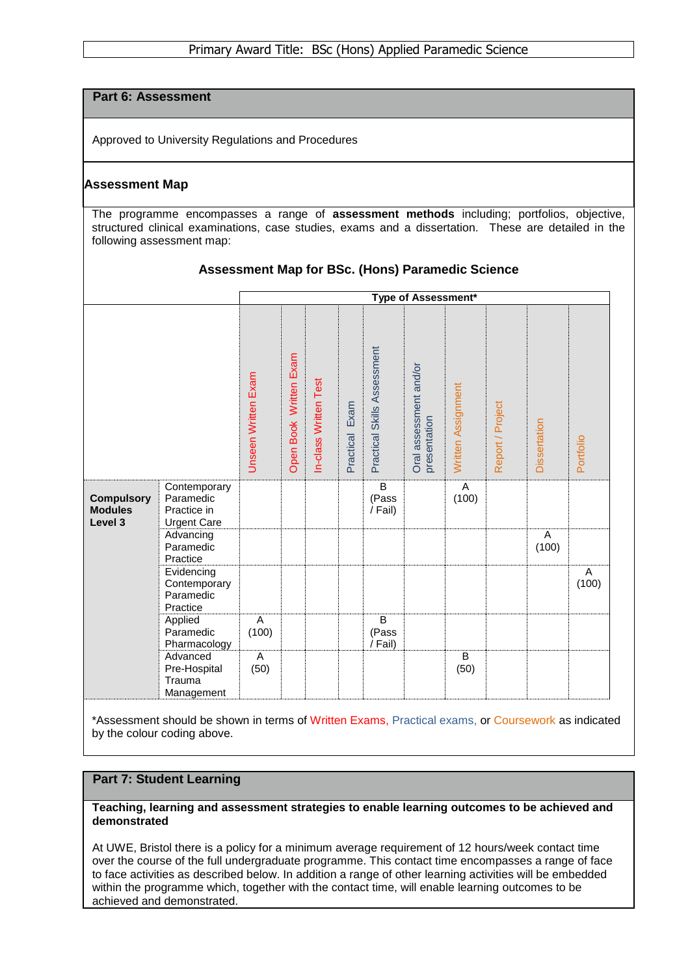# **Part 6: Assessment**

Approved to University Regulations and Procedures

## **Assessment Map**

The programme encompasses a range of **assessment methods** including; portfolios, objective, structured clinical examinations, case studies, exams and a dissertation. These are detailed in the following assessment map:

|                                                |                                                                | Type of Assessment* |                        |                       |                   |                                    |                                        |                        |                  |              |            |
|------------------------------------------------|----------------------------------------------------------------|---------------------|------------------------|-----------------------|-------------------|------------------------------------|----------------------------------------|------------------------|------------------|--------------|------------|
|                                                |                                                                | Unseen Written Exam | Open Book Written Exam | In-class Written Test | Exam<br>Practical | Practical Skills Assessment        | Oral assessment and/or<br>presentation | Written Assignment     | Report / Project | Dissertation | Portfolio  |
| <b>Compulsory</b><br><b>Modules</b><br>Level 3 | Contemporary<br>Paramedic<br>Practice in<br><b>Urgent Care</b> |                     |                        |                       |                   | B<br>(Pass<br>/ Fail)              |                                        | A<br>(100)             |                  |              |            |
|                                                | Advancing<br>Paramedic<br>Practice                             |                     |                        |                       |                   |                                    |                                        |                        |                  | A<br>(100)   |            |
|                                                | Evidencing<br>Contemporary<br>Paramedic<br>Practice            |                     |                        |                       |                   |                                    |                                        |                        |                  |              | Α<br>(100) |
|                                                | Applied<br>Paramedic<br>Pharmacology                           | A<br>(100)          |                        |                       |                   | $\overline{B}$<br>(Pass<br>/ Fail) |                                        |                        |                  |              |            |
|                                                | Advanced<br>Pre-Hospital<br>Trauma<br>Management               | A<br>(50)           |                        |                       |                   |                                    |                                        | $\overline{B}$<br>(50) |                  |              |            |

## **Assessment Map for BSc. (Hons) Paramedic Science**

\*Assessment should be shown in terms of Written Exams, Practical exams, or Coursework as indicated by the colour coding above.

#### **Part 7: Student Learning**

**Teaching, learning and assessment strategies to enable learning outcomes to be achieved and demonstrated**

At UWE, Bristol there is a policy for a minimum average requirement of 12 hours/week contact time over the course of the full undergraduate programme. This contact time encompasses a range of face to face activities as described below. In addition a range of other learning activities will be embedded within the programme which, together with the contact time, will enable learning outcomes to be achieved and demonstrated.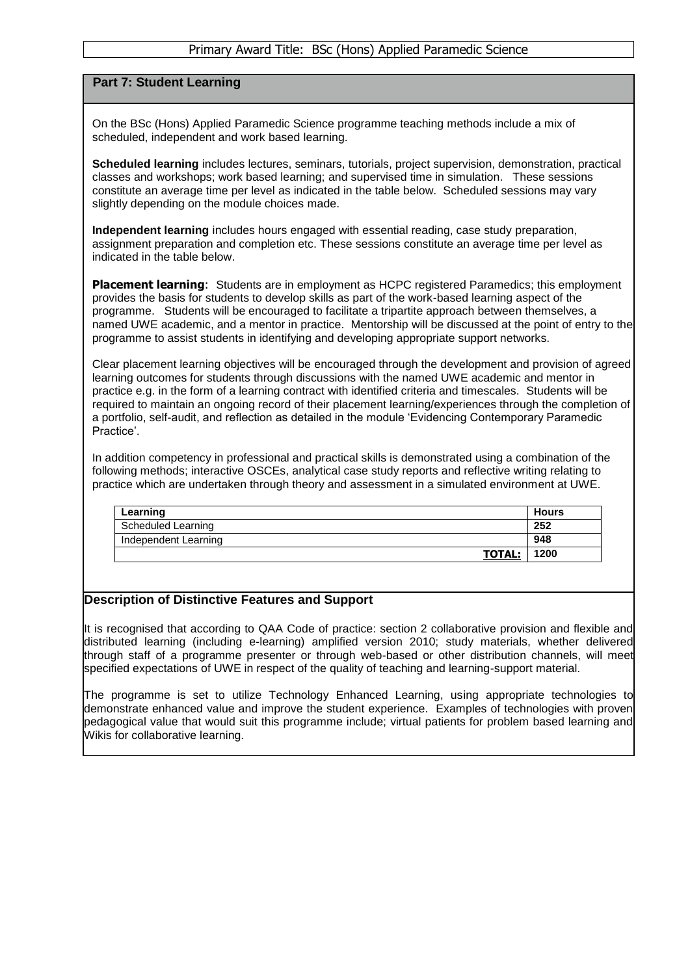### Primary Award Title: BSc (Hons) Applied Paramedic Science

## **Part 7: Student Learning**

On the BSc (Hons) Applied Paramedic Science programme teaching methods include a mix of scheduled, independent and work based learning.

**Scheduled learning** includes lectures, seminars, tutorials, project supervision, demonstration, practical classes and workshops; work based learning; and supervised time in simulation. These sessions constitute an average time per level as indicated in the table below. Scheduled sessions may vary slightly depending on the module choices made.

**Independent learning** includes hours engaged with essential reading, case study preparation, assignment preparation and completion etc. These sessions constitute an average time per level as indicated in the table below.

**Placement learning**: Students are in employment as HCPC registered Paramedics; this employment provides the basis for students to develop skills as part of the work-based learning aspect of the programme. Students will be encouraged to facilitate a tripartite approach between themselves, a named UWE academic, and a mentor in practice. Mentorship will be discussed at the point of entry to the programme to assist students in identifying and developing appropriate support networks.

Clear placement learning objectives will be encouraged through the development and provision of agreed learning outcomes for students through discussions with the named UWE academic and mentor in practice e.g. in the form of a learning contract with identified criteria and timescales. Students will be required to maintain an ongoing record of their placement learning/experiences through the completion of a portfolio, self-audit, and reflection as detailed in the module 'Evidencing Contemporary Paramedic Practice'.

In addition competency in professional and practical skills is demonstrated using a combination of the following methods; interactive OSCEs, analytical case study reports and reflective writing relating to practice which are undertaken through theory and assessment in a simulated environment at UWE.

| Learning             | Hours |
|----------------------|-------|
| Scheduled Learning   | 252   |
| Independent Learning | 948   |
| <b>TOTAL:</b>        | 1200  |

#### **Description of Distinctive Features and Support**

It is recognised that according to QAA Code of practice: section 2 collaborative provision and flexible and distributed learning (including e-learning) amplified version 2010; study materials, whether delivered through staff of a programme presenter or through web-based or other distribution channels, will meet specified expectations of UWE in respect of the quality of teaching and learning-support material.

The programme is set to utilize Technology Enhanced Learning, using appropriate technologies to demonstrate enhanced value and improve the student experience. Examples of technologies with proven pedagogical value that would suit this programme include; virtual patients for problem based learning and Wikis for collaborative learning.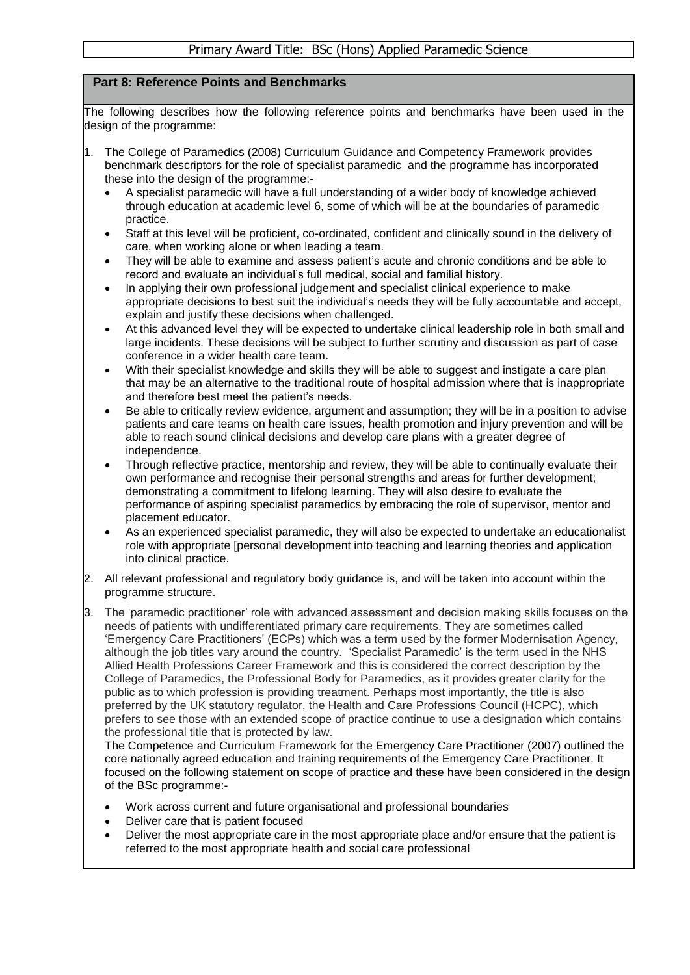# **Part 8: Reference Points and Benchmarks**

The following describes how the following reference points and benchmarks have been used in the design of the programme:

- 1. The College of Paramedics (2008) Curriculum Guidance and Competency Framework provides benchmark descriptors for the role of specialist paramedic and the programme has incorporated these into the design of the programme:-
	- A specialist paramedic will have a full understanding of a wider body of knowledge achieved through education at academic level 6, some of which will be at the boundaries of paramedic practice.
	- Staff at this level will be proficient, co-ordinated, confident and clinically sound in the delivery of care, when working alone or when leading a team.
	- They will be able to examine and assess patient's acute and chronic conditions and be able to record and evaluate an individual's full medical, social and familial history.
	- In applying their own professional judgement and specialist clinical experience to make appropriate decisions to best suit the individual's needs they will be fully accountable and accept, explain and justify these decisions when challenged.
	- At this advanced level they will be expected to undertake clinical leadership role in both small and large incidents. These decisions will be subject to further scrutiny and discussion as part of case conference in a wider health care team.
	- With their specialist knowledge and skills they will be able to suggest and instigate a care plan that may be an alternative to the traditional route of hospital admission where that is inappropriate and therefore best meet the patient's needs.
	- Be able to critically review evidence, argument and assumption; they will be in a position to advise patients and care teams on health care issues, health promotion and injury prevention and will be able to reach sound clinical decisions and develop care plans with a greater degree of independence.
	- Through reflective practice, mentorship and review, they will be able to continually evaluate their own performance and recognise their personal strengths and areas for further development; demonstrating a commitment to lifelong learning. They will also desire to evaluate the performance of aspiring specialist paramedics by embracing the role of supervisor, mentor and placement educator.
	- As an experienced specialist paramedic, they will also be expected to undertake an educationalist role with appropriate [personal development into teaching and learning theories and application into clinical practice.
- 2. All relevant professional and regulatory body guidance is, and will be taken into account within the programme structure.
- 3. The 'paramedic practitioner' role with advanced assessment and decision making skills focuses on the needs of patients with undifferentiated primary care requirements. They are sometimes called 'Emergency Care Practitioners' (ECPs) which was a term used by the former Modernisation Agency, although the job titles vary around the country. 'Specialist Paramedic' is the term used in the NHS Allied Health Professions Career Framework and this is considered the correct description by the College of Paramedics, the Professional Body for Paramedics, as it provides greater clarity for the public as to which profession is providing treatment. Perhaps most importantly, the title is also preferred by the UK statutory regulator, the Health and Care Professions Council (HCPC), which prefers to see those with an extended scope of practice continue to use a designation which contains the professional title that is protected by law.

The Competence and Curriculum Framework for the Emergency Care Practitioner (2007) outlined the core nationally agreed education and training requirements of the Emergency Care Practitioner. It focused on the following statement on scope of practice and these have been considered in the design of the BSc programme:-

- Work across current and future organisational and professional boundaries
- Deliver care that is patient focused
- Deliver the most appropriate care in the most appropriate place and/or ensure that the patient is referred to the most appropriate health and social care professional